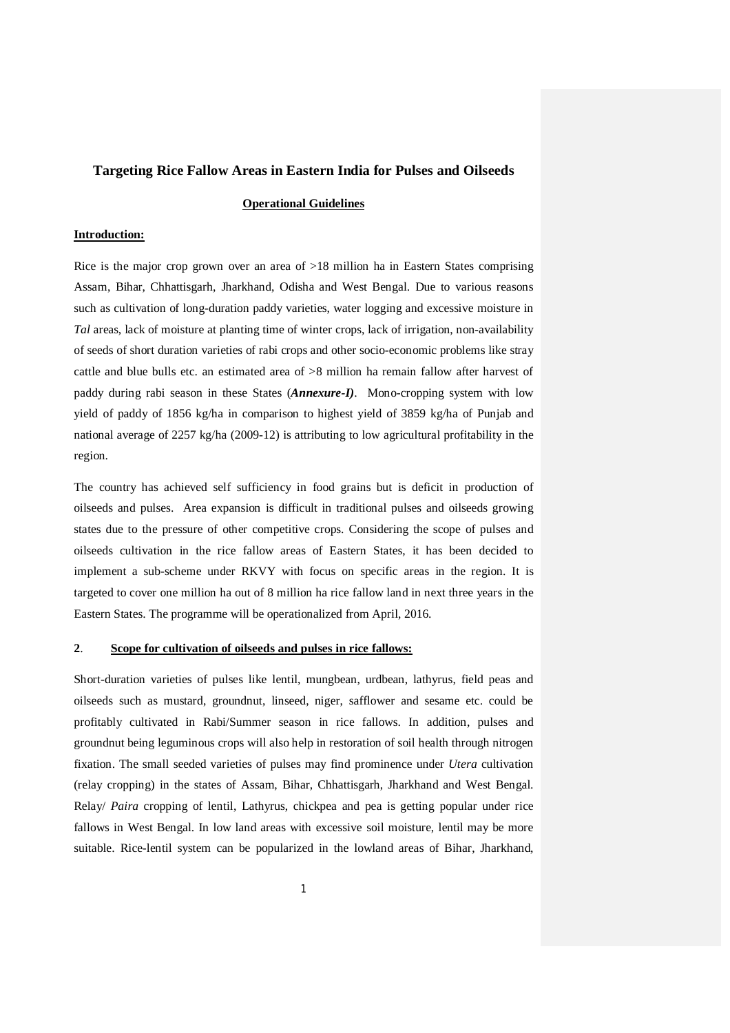## **Targeting Rice Fallow Areas in Eastern India for Pulses and Oilseeds**

#### **Operational Guidelines**

#### **Introduction:**

Rice is the major crop grown over an area of >18 million ha in Eastern States comprising Assam, Bihar, Chhattisgarh, Jharkhand, Odisha and West Bengal. Due to various reasons such as cultivation of long-duration paddy varieties, water logging and excessive moisture in *Tal* areas, lack of moisture at planting time of winter crops, lack of irrigation, non-availability of seeds of short duration varieties of rabi crops and other socio-economic problems like stray cattle and blue bulls etc. an estimated area of  $>8$  million ha remain fallow after harvest of paddy during rabi season in these States (*Annexure-I)*. Mono-cropping system with low yield of paddy of 1856 kg/ha in comparison to highest yield of 3859 kg/ha of Punjab and national average of 2257 kg/ha (2009-12) is attributing to low agricultural profitability in the region.

The country has achieved self sufficiency in food grains but is deficit in production of oilseeds and pulses. Area expansion is difficult in traditional pulses and oilseeds growing states due to the pressure of other competitive crops. Considering the scope of pulses and oilseeds cultivation in the rice fallow areas of Eastern States, it has been decided to implement a sub-scheme under RKVY with focus on specific areas in the region. It is targeted to cover one million ha out of 8 million ha rice fallow land in next three years in the Eastern States. The programme will be operationalized from April, 2016.

#### **2**. **Scope for cultivation of oilseeds and pulses in rice fallows:**

Short-duration varieties of pulses like lentil, mungbean, urdbean, lathyrus, field peas and oilseeds such as mustard, groundnut, linseed, niger, safflower and sesame etc. could be profitably cultivated in Rabi/Summer season in rice fallows. In addition, pulses and groundnut being leguminous crops will also help in restoration of soil health through nitrogen fixation. The small seeded varieties of pulses may find prominence under *Utera* cultivation (relay cropping) in the states of Assam, Bihar, Chhattisgarh, Jharkhand and West Bengal. Relay/ *Paira* cropping of lentil, Lathyrus, chickpea and pea is getting popular under rice fallows in West Bengal. In low land areas with excessive soil moisture, lentil may be more suitable. Rice-lentil system can be popularized in the lowland areas of Bihar, Jharkhand,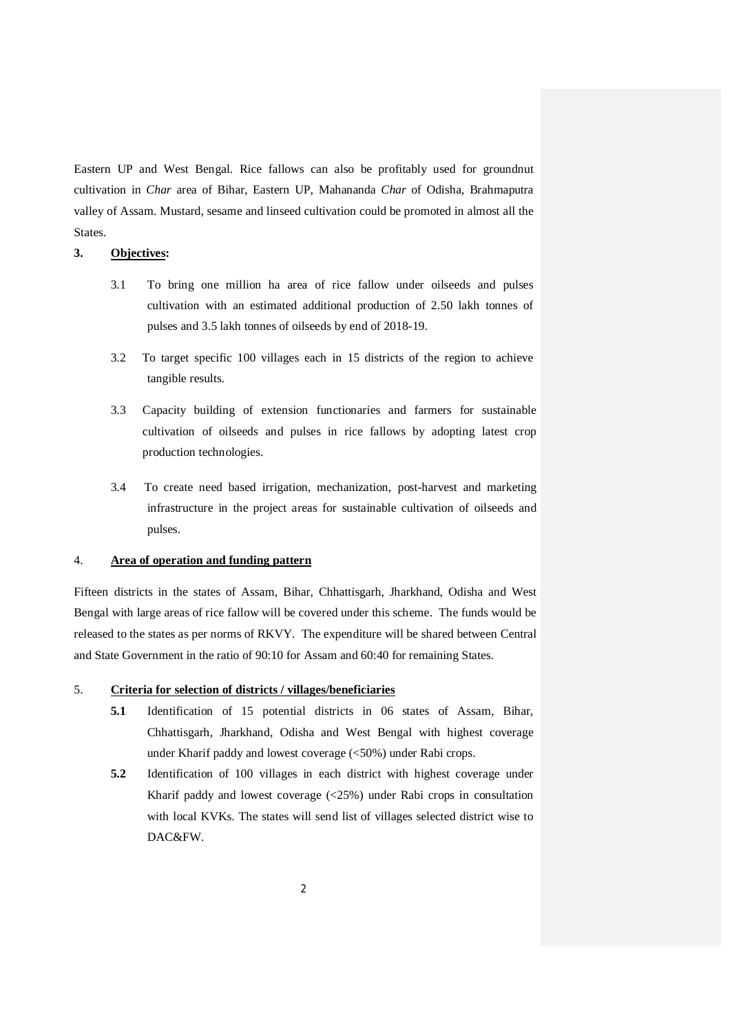Eastern UP and West Bengal. Rice fallows can also be profitably used for groundnut cultivation in *Char* area of Bihar, Eastern UP, Mahananda *Char* of Odisha, Brahmaputra valley of Assam. Mustard, sesame and linseed cultivation could be promoted in almost all the States.

# **3. Objectives:**

- 3.1 To bring one million ha area of rice fallow under oilseeds and pulses cultivation with an estimated additional production of 2.50 lakh tonnes of pulses and 3.5 lakh tonnes of oilseeds by end of 2018-19.
- 3.2 To target specific 100 villages each in 15 districts of the region to achieve tangible results.
- 3.3 Capacity building of extension functionaries and farmers for sustainable cultivation of oilseeds and pulses in rice fallows by adopting latest crop production technologies.
- 3.4 To create need based irrigation, mechanization, post-harvest and marketing infrastructure in the project areas for sustainable cultivation of oilseeds and pulses.

#### 4. **Area of operation and funding pattern**

Fifteen districts in the states of Assam, Bihar, Chhattisgarh, Jharkhand, Odisha and West Bengal with large areas of rice fallow will be covered under this scheme. The funds would be released to the states as per norms of RKVY. The expenditure will be shared between Central and State Government in the ratio of 90:10 for Assam and 60:40 for remaining States.

#### 5. **Criteria for selection of districts / villages/beneficiaries**

- **5.1** Identification of 15 potential districts in 06 states of Assam, Bihar, Chhattisgarh, Jharkhand, Odisha and West Bengal with highest coverage under Kharif paddy and lowest coverage (<50%) under Rabi crops.
- **5.2** Identification of 100 villages in each district with highest coverage under Kharif paddy and lowest coverage (<25%) under Rabi crops in consultation with local KVKs. The states will send list of villages selected district wise to DAC&FW.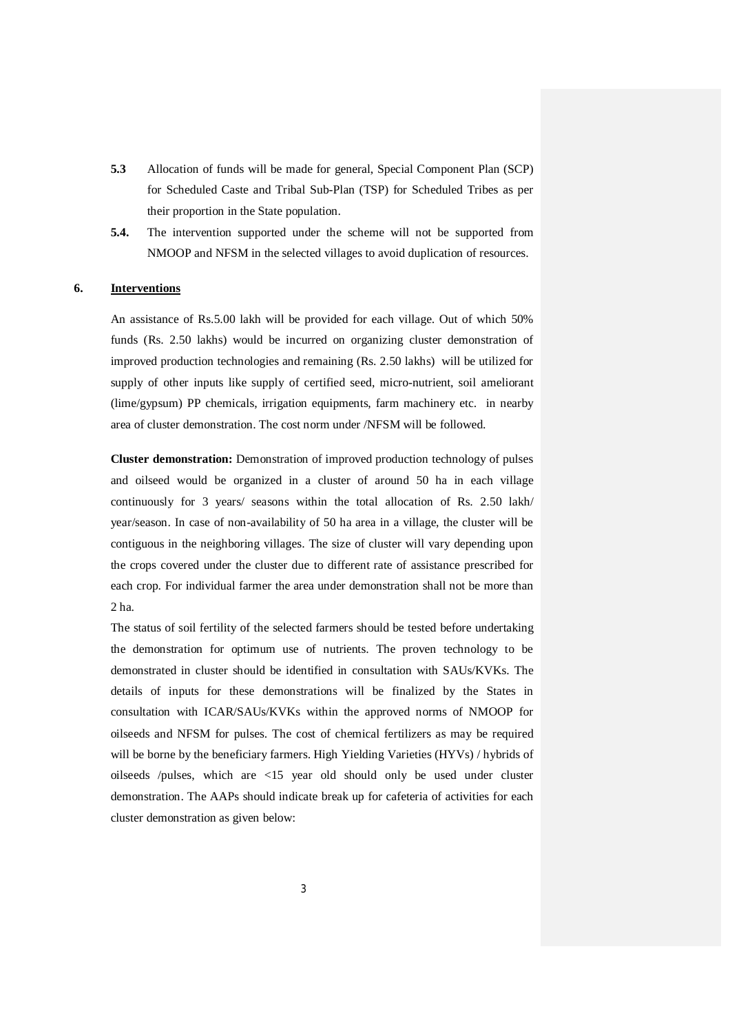- **5.3** Allocation of funds will be made for general, Special Component Plan (SCP) for Scheduled Caste and Tribal Sub-Plan (TSP) for Scheduled Tribes as per their proportion in the State population.
- **5.4.** The intervention supported under the scheme will not be supported from NMOOP and NFSM in the selected villages to avoid duplication of resources.

#### **6. Interventions**

An assistance of Rs.5.00 lakh will be provided for each village. Out of which 50% funds (Rs. 2.50 lakhs) would be incurred on organizing cluster demonstration of improved production technologies and remaining (Rs. 2.50 lakhs) will be utilized for supply of other inputs like supply of certified seed, micro-nutrient, soil ameliorant (lime/gypsum) PP chemicals, irrigation equipments, farm machinery etc. in nearby area of cluster demonstration. The cost norm under /NFSM will be followed.

**Cluster demonstration:** Demonstration of improved production technology of pulses and oilseed would be organized in a cluster of around 50 ha in each village continuously for 3 years/ seasons within the total allocation of Rs. 2.50 lakh/ year/season. In case of non-availability of 50 ha area in a village, the cluster will be contiguous in the neighboring villages. The size of cluster will vary depending upon the crops covered under the cluster due to different rate of assistance prescribed for each crop. For individual farmer the area under demonstration shall not be more than 2 ha.

The status of soil fertility of the selected farmers should be tested before undertaking the demonstration for optimum use of nutrients. The proven technology to be demonstrated in cluster should be identified in consultation with SAUs/KVKs. The details of inputs for these demonstrations will be finalized by the States in consultation with ICAR/SAUs/KVKs within the approved norms of NMOOP for oilseeds and NFSM for pulses. The cost of chemical fertilizers as may be required will be borne by the beneficiary farmers. High Yielding Varieties (HYVs) / hybrids of oilseeds /pulses, which are <15 year old should only be used under cluster demonstration. The AAPs should indicate break up for cafeteria of activities for each cluster demonstration as given below: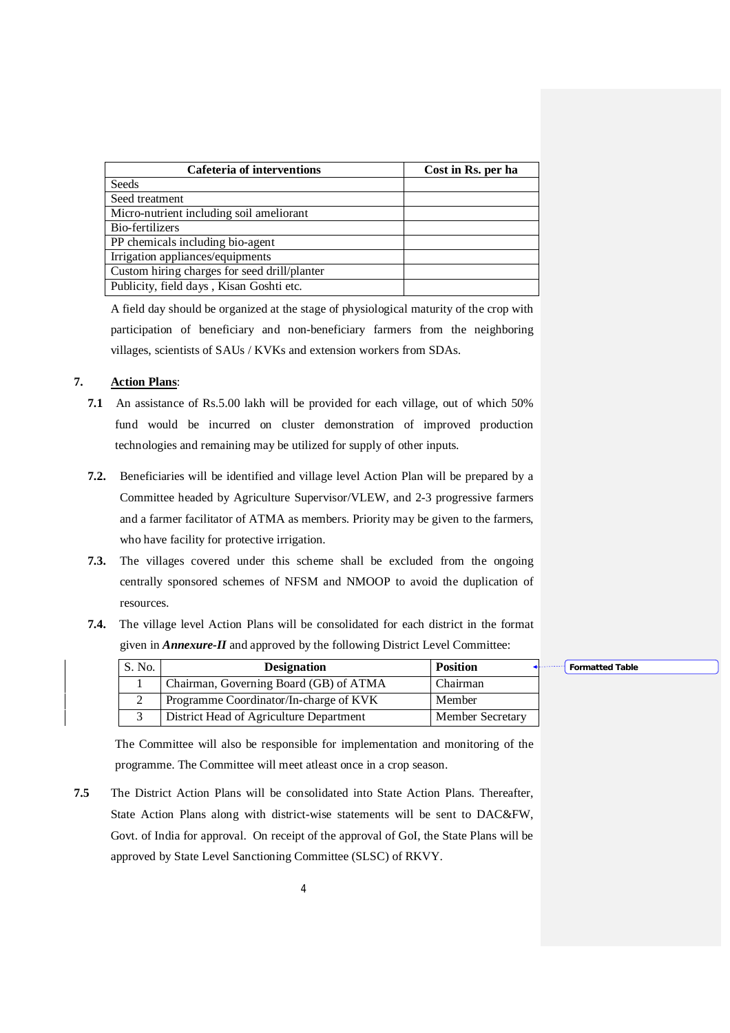| <b>Cafeteria of interventions</b>            | Cost in Rs. per ha |  |  |  |  |
|----------------------------------------------|--------------------|--|--|--|--|
| Seeds                                        |                    |  |  |  |  |
| Seed treatment                               |                    |  |  |  |  |
| Micro-nutrient including soil ameliorant     |                    |  |  |  |  |
| Bio-fertilizers                              |                    |  |  |  |  |
| PP chemicals including bio-agent             |                    |  |  |  |  |
| Irrigation appliances/equipments             |                    |  |  |  |  |
| Custom hiring charges for seed drill/planter |                    |  |  |  |  |
| Publicity, field days, Kisan Goshti etc.     |                    |  |  |  |  |

A field day should be organized at the stage of physiological maturity of the crop with participation of beneficiary and non-beneficiary farmers from the neighboring villages, scientists of SAUs / KVKs and extension workers from SDAs.

### **7. Action Plans**:

- **7.1** An assistance of Rs.5.00 lakh will be provided for each village, out of which 50% fund would be incurred on cluster demonstration of improved production technologies and remaining may be utilized for supply of other inputs.
- **7.2.** Beneficiaries will be identified and village level Action Plan will be prepared by a Committee headed by Agriculture Supervisor/VLEW, and 2-3 progressive farmers and a farmer facilitator of ATMA as members. Priority may be given to the farmers, who have facility for protective irrigation.
- **7.3.** The villages covered under this scheme shall be excluded from the ongoing centrally sponsored schemes of NFSM and NMOOP to avoid the duplication of resources.
- **7.4.** The village level Action Plans will be consolidated for each district in the format given in *Annexure-II* and approved by the following District Level Committee:

| S. No. | <b>Designation</b>                      | <b>Position</b>         | <b>Formatted Table</b><br>---------- |
|--------|-----------------------------------------|-------------------------|--------------------------------------|
|        | Chairman, Governing Board (GB) of ATMA  | Chairman                |                                      |
|        | Programme Coordinator/In-charge of KVK  | Member                  |                                      |
|        | District Head of Agriculture Department | <b>Member Secretary</b> |                                      |

The Committee will also be responsible for implementation and monitoring of the programme. The Committee will meet atleast once in a crop season.

**7.5** The District Action Plans will be consolidated into State Action Plans. Thereafter, State Action Plans along with district-wise statements will be sent to DAC&FW, Govt. of India for approval. On receipt of the approval of GoI, the State Plans will be approved by State Level Sanctioning Committee (SLSC) of RKVY.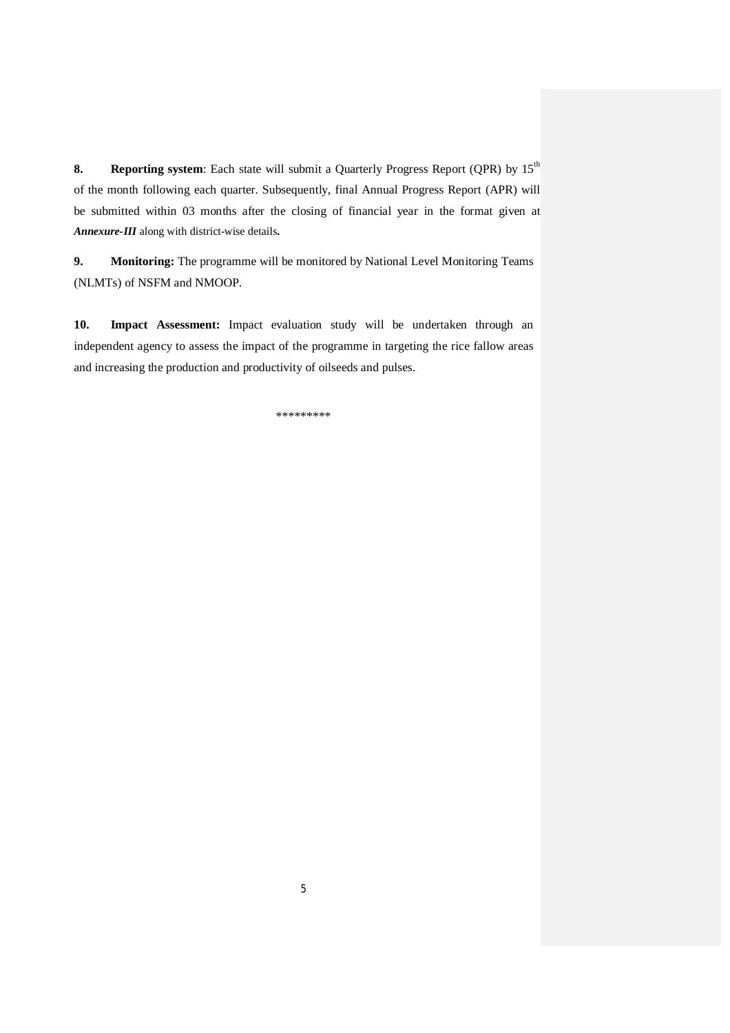**8.** Reporting system: Each state will submit a Quarterly Progress Report (QPR) by 15<sup>th</sup> of the month following each quarter. Subsequently, final Annual Progress Report (APR) will be submitted within 03 months after the closing of financial year in the format given at *Annexure-III* along with district-wise details*.*

**9. Monitoring:** The programme will be monitored by National Level Monitoring Teams (NLMTs) of NSFM and NMOOP.

**10. Impact Assessment:** Impact evaluation study will be undertaken through an independent agency to assess the impact of the programme in targeting the rice fallow areas and increasing the production and productivity of oilseeds and pulses.

\*\*\*\*\*\*\*\*\*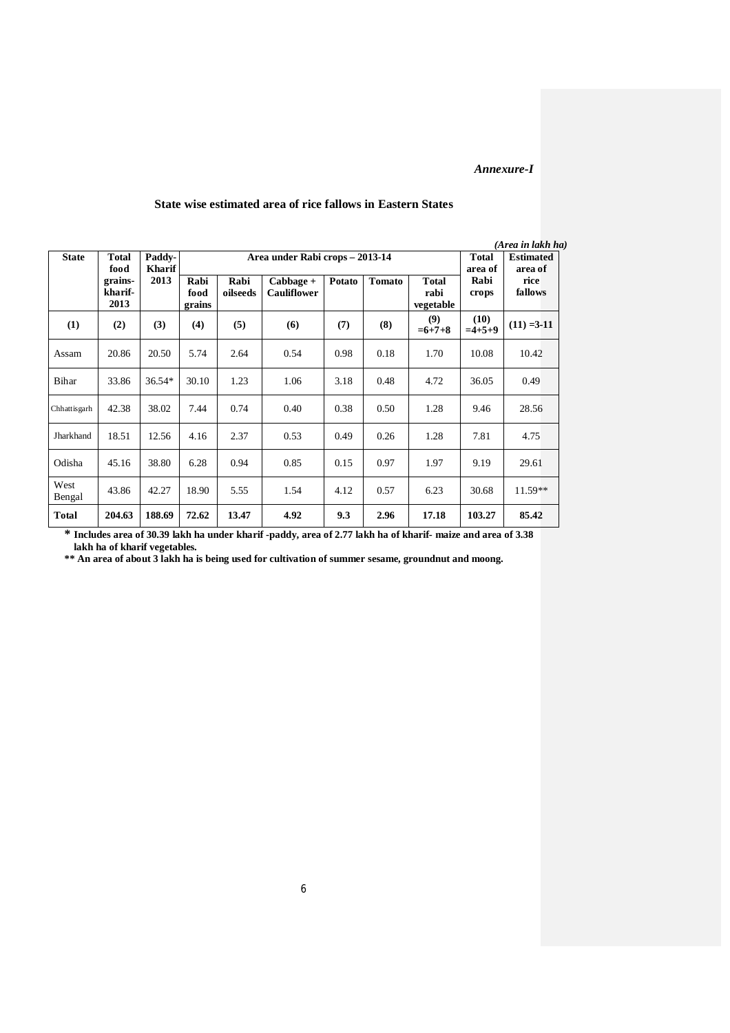#### *Annexure-I*

| <b>State</b>   | Paddy-<br><b>Total</b><br><b>Kharif</b><br>food |        | Area under Rabi crops - 2013-14 |                  |                                   |        |        | <b>Total</b><br>area of           | (Area in lakh ha)<br><b>Estimated</b><br>area of |                 |  |
|----------------|-------------------------------------------------|--------|---------------------------------|------------------|-----------------------------------|--------|--------|-----------------------------------|--------------------------------------------------|-----------------|--|
|                | grains-<br>kharif-<br>2013                      | 2013   | Rabi<br>food<br>grains          | Rabi<br>oilseeds | $Cabbage +$<br><b>Cauliflower</b> | Potato | Tomato | <b>Total</b><br>rabi<br>vegetable | Rabi<br>crops                                    | rice<br>fallows |  |
| (1)            | (2)                                             | (3)    | (4)                             | (5)              | (6)                               | (7)    | (8)    | (9)<br>$=6+7+8$                   | (10)<br>$=4+5+9$                                 | $(11) = 3-11$   |  |
| Assam          | 20.86                                           | 20.50  | 5.74                            | 2.64             | 0.54                              | 0.98   | 0.18   | 1.70                              | 10.08                                            | 10.42           |  |
| Bihar          | 33.86                                           | 36.54* | 30.10                           | 1.23             | 1.06                              | 3.18   | 0.48   | 4.72                              | 36.05                                            | 0.49            |  |
| Chhatt is garh | 42.38                                           | 38.02  | 7.44                            | 0.74             | 0.40                              | 0.38   | 0.50   | 1.28                              | 9.46                                             | 28.56           |  |
| Jharkhand      | 18.51                                           | 12.56  | 4.16                            | 2.37             | 0.53                              | 0.49   | 0.26   | 1.28                              | 7.81                                             | 4.75            |  |
| Odisha         | 45.16                                           | 38.80  | 6.28                            | 0.94             | 0.85                              | 0.15   | 0.97   | 1.97                              | 9.19                                             | 29.61           |  |
| West<br>Bengal | 43.86                                           | 42.27  | 18.90                           | 5.55             | 1.54                              | 4.12   | 0.57   | 6.23                              | 30.68                                            | $11.59**$       |  |
| <b>Total</b>   | 204.63                                          | 188.69 | 72.62                           | 13.47            | 4.92                              | 9.3    | 2.96   | 17.18                             | 103.27                                           | 85.42           |  |

#### **State wise estimated area of rice fallows in Eastern States**

**\* Includes area of 30.39 lakh ha under kharif -paddy, area of 2.77 lakh ha of kharif- maize and area of 3.38 lakh ha of kharif vegetables.** 

**\*\* An area of about 3 lakh ha is being used for cultivation of summer sesame, groundnut and moong.**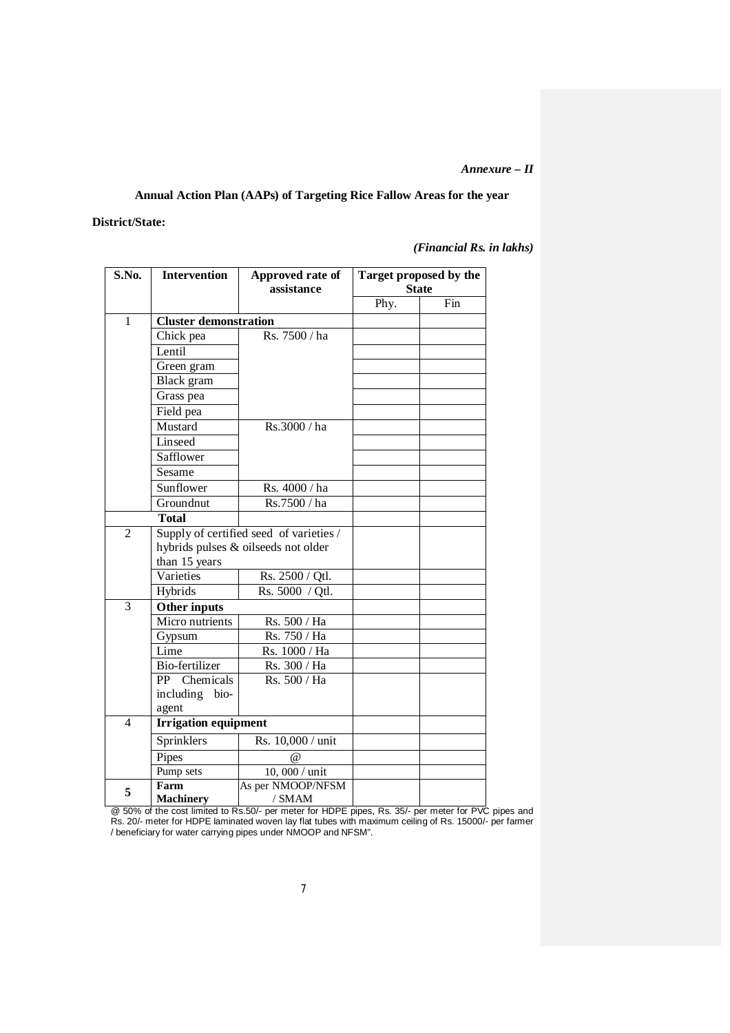#### *Annexure – II*

# **Annual Action Plan (AAPs) of Targeting Rice Fallow Areas for the year**

## **District/State:**

*(Financial Rs. in lakhs)*

| S.No.          | <b>Intervention</b>          | Approved rate of<br>assistance          | Target proposed by the<br><b>State</b> |     |  |  |
|----------------|------------------------------|-----------------------------------------|----------------------------------------|-----|--|--|
|                |                              |                                         | Phy.                                   | Fin |  |  |
| $\mathbf{1}$   | <b>Cluster demonstration</b> |                                         |                                        |     |  |  |
|                | Chick pea                    | Rs. 7500 / ha                           |                                        |     |  |  |
|                | Lentil                       |                                         |                                        |     |  |  |
|                | Green gram                   |                                         |                                        |     |  |  |
|                | Black gram                   |                                         |                                        |     |  |  |
|                | Grass pea                    |                                         |                                        |     |  |  |
|                | Field pea                    |                                         |                                        |     |  |  |
|                | Mustard                      | Rs.3000 / ha                            |                                        |     |  |  |
|                | Linseed                      |                                         |                                        |     |  |  |
|                | Safflower                    |                                         |                                        |     |  |  |
|                | Sesame                       |                                         |                                        |     |  |  |
|                | Sunflower                    | Rs. 4000 / ha                           |                                        |     |  |  |
|                | Groundnut                    | Rs.7500 / ha                            |                                        |     |  |  |
|                | <b>Total</b>                 |                                         |                                        |     |  |  |
| $\overline{2}$ |                              | Supply of certified seed of varieties / |                                        |     |  |  |
|                |                              | hybrids pulses & oilseeds not older     |                                        |     |  |  |
|                | than 15 years                |                                         |                                        |     |  |  |
|                | Varieties                    | Rs. 2500 / Qtl.                         |                                        |     |  |  |
|                | Hybrids                      | Rs. 5000 / Qtl.                         |                                        |     |  |  |
| 3              | Other inputs                 |                                         |                                        |     |  |  |
|                | Micro nutrients              | Rs. 500 / Ha                            |                                        |     |  |  |
|                | Gypsum                       | Rs. 750 / Ha                            |                                        |     |  |  |
|                | Lime                         | Rs. 1000 / Ha                           |                                        |     |  |  |
|                | Bio-fertilizer               | Rs. 300 / Ha                            |                                        |     |  |  |
|                | PP Chemicals                 | Rs. 500 / Ha                            |                                        |     |  |  |
|                | including bio-               |                                         |                                        |     |  |  |
|                | agent                        |                                         |                                        |     |  |  |
| $\overline{4}$ | <b>Irrigation equipment</b>  |                                         |                                        |     |  |  |
|                | Sprinklers                   | Rs. 10,000 / unit                       |                                        |     |  |  |
|                | Pipes                        | $\omega$                                |                                        |     |  |  |
|                | Pump sets                    | 10, 000 / unit                          |                                        |     |  |  |
| 5              | Farm                         | As per NMOOP/NFSM                       |                                        |     |  |  |
|                | <b>Machinery</b>             | / SMAM                                  |                                        |     |  |  |

@ 50% of the cost limited to Rs.50/- per meter for HDPE pipes, Rs. 35/- per meter for PVC pipes and Rs. 20/- meter for HDPE laminated woven lay flat tubes with maximum ceiling of Rs. 15000/- per farmer / beneficiary for water carrying pipes under NMOOP and NFSM".